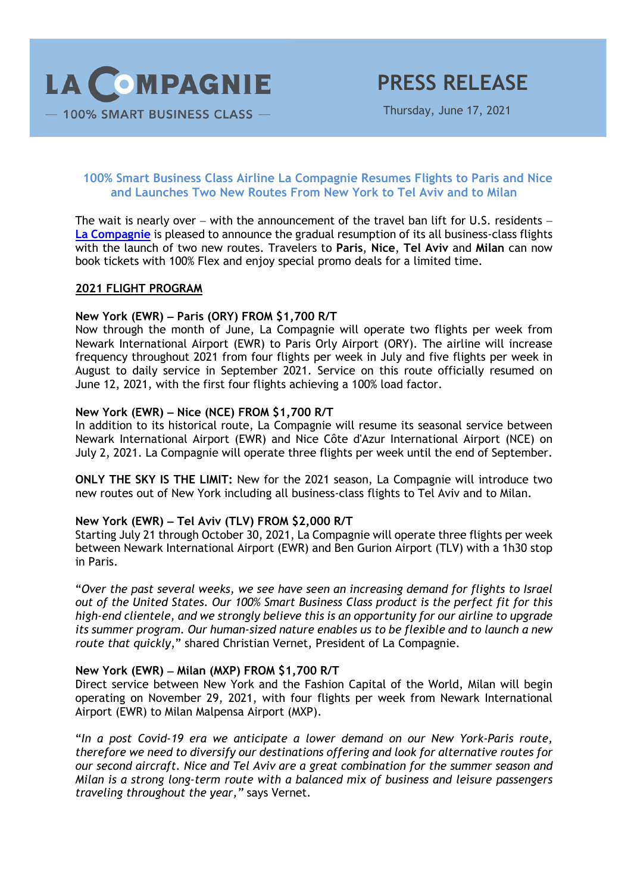

Thursday, June 17, 2021

# **100% Smart Business Class Airline La Compagnie Resumes Flights to Paris and Nice and Launches Two New Routes From New York to Tel Aviv and to Milan**

The wait is nearly over  $-$  with the announcement of the travel ban lift for U.S. residents  $-$ **La Compagnie** is pleased to announce the gradual resumption of its all business-class flights with the launch of two new routes. Travelers to **Paris**, **Nice**, **Tel Aviv** and **Milan** can now book tickets with 100% Flex and enjoy special promo deals for a limited time.

#### **2021 FLIGHT PROGRAM**

### **New York (EWR)** - **Paris (ORY) FROM \$1,700 R/T**

Now through the month of June, La Compagnie will operate two flights per week from Newark International Airport (EWR) to Paris Orly Airport (ORY). The airline will increase frequency throughout 2021 from four flights per week in July and five flights per week in August to daily service in September 2021. Service on this route officially resumed on June 12, 2021, with the first four flights achieving a 100% load factor.

## **New York (EWR)** - **Nice (NCE) FROM \$1,700 R/T**

In addition to its historical route, La Compagnie will resume its seasonal service between Newark International Airport (EWR) and Nice Côte d'Azur International Airport (NCE) on July 2, 2021. La Compagnie will operate three flights per week until the end of September.

**ONLY THE SKY IS THE LIMIT:** New for the 2021 season, La Compagnie will introduce two new routes out of New York including all business-class flights to Tel Aviv and to Milan.

### **New York (EWR)** - **Tel Aviv (TLV) FROM \$2,000 R/T**

Starting July 21 through October 30, 2021, La Compagnie will operate three flights per week between Newark International Airport (EWR) and Ben Gurion Airport (TLV) with a 1h30 stop in Paris.

"*Over the past several weeks, we see have seen an increasing demand for flights to Israel out of the United States. Our 100% Smart Business Class product is the perfect fit for this high-end clientele, and we strongly believe this is an opportunity for our airline to upgrade its summer program. Our human-sized nature enables us to be flexible and to launch a new route that quickly*," shared Christian Vernet, President of La Compagnie.

### **New York (EWR)** - **Milan (MXP) FROM \$1,700 R/T**

Direct service between New York and the Fashion Capital of the World, Milan will begin operating on November 29, 2021, with four flights per week from Newark International Airport (EWR) to Milan Malpensa Airport (MXP).

"*In a post Covid-19 era we anticipate a lower demand on our New York-Paris route, therefore we need to diversify our destinations offering and look for alternative routes for our second aircraft. Nice and Tel Aviv are a great combination for the summer season and Milan is a strong long-term route with a balanced mix of business and leisure passengers traveling throughout the year,"* says Vernet.